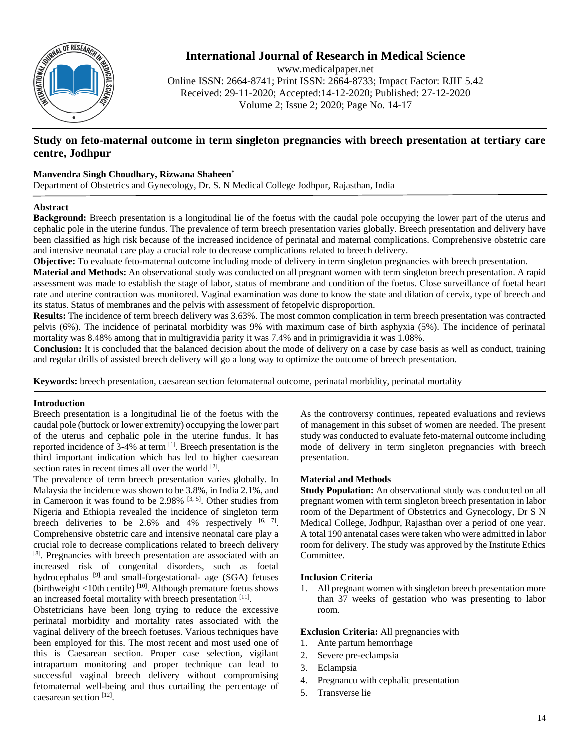

# **International Journal of Research in Medical Science**

www.medicalpaper.net Online ISSN: 2664-8741; Print ISSN: 2664-8733; Impact Factor: RJIF 5.42 Received: 29-11-2020; Accepted:14-12-2020; Published: 27-12-2020 Volume 2; Issue 2; 2020; Page No. 14-17

## **Study on feto-maternal outcome in term singleton pregnancies with breech presentation at tertiary care centre, Jodhpur**

## **Manvendra Singh Choudhary, Rizwana Shaheen\***

Department of Obstetrics and Gynecology, Dr. S. N Medical College Jodhpur, Rajasthan, India

## **Abstract**

**Background:** Breech presentation is a longitudinal lie of the foetus with the caudal pole occupying the lower part of the uterus and cephalic pole in the uterine fundus. The prevalence of term breech presentation varies globally. Breech presentation and delivery have been classified as high risk because of the increased incidence of perinatal and maternal complications. Comprehensive obstetric care and intensive neonatal care play a crucial role to decrease complications related to breech delivery.

**Objective:** To evaluate feto-maternal outcome including mode of delivery in term singleton pregnancies with breech presentation.

**Material and Methods:** An observational study was conducted on all pregnant women with term singleton breech presentation. A rapid assessment was made to establish the stage of labor, status of membrane and condition of the foetus. Close surveillance of foetal heart rate and uterine contraction was monitored. Vaginal examination was done to know the state and dilation of cervix, type of breech and its status. Status of membranes and the pelvis with assessment of fetopelvic disproportion.

**Results:** The incidence of term breech delivery was 3.63%. The most common complication in term breech presentation was contracted pelvis (6%). The incidence of perinatal morbidity was 9% with maximum case of birth asphyxia (5%). The incidence of perinatal mortality was 8.48% among that in multigravidia parity it was 7.4% and in primigravidia it was 1.08%.

**Conclusion:** It is concluded that the balanced decision about the mode of delivery on a case by case basis as well as conduct, training and regular drills of assisted breech delivery will go a long way to optimize the outcome of breech presentation.

**Keywords:** breech presentation, caesarean section fetomaternal outcome, perinatal morbidity, perinatal mortality

## **Introduction**

Breech presentation is a longitudinal lie of the foetus with the caudal pole (buttock or lower extremity) occupying the lower part of the uterus and cephalic pole in the uterine fundus. It has reported incidence of 3-4% at term <sup>[1]</sup>. Breech presentation is the third important indication which has led to higher caesarean section rates in recent times all over the world <sup>[2]</sup>.

The prevalence of term breech presentation varies globally. In Malaysia the incidence was shown to be 3.8%, in India 2.1%, and in Cameroon it was found to be  $2.98\%$  <sup>[3, 5]</sup>. Other studies from Nigeria and Ethiopia revealed the incidence of singleton term breech deliveries to be  $2.6\%$  and  $4\%$  respectively  $[6, 7]$ . Comprehensive obstetric care and intensive neonatal care play a crucial role to decrease complications related to breech delivery [8]. Pregnancies with breech presentation are associated with an increased risk of congenital disorders, such as foetal hydrocephalus<sup>[9]</sup> and small-forgestational- age (SGA) fetuses (birthweight <10th centile)<sup>[10]</sup>. Although premature foetus shows an increased foetal mortality with breech presentation [11].

Obstetricians have been long trying to reduce the excessive perinatal morbidity and mortality rates associated with the vaginal delivery of the breech foetuses. Various techniques have been employed for this. The most recent and most used one of this is Caesarean section. Proper case selection, vigilant intrapartum monitoring and proper technique can lead to successful vaginal breech delivery without compromising fetomaternal well-being and thus curtailing the percentage of caesarean section<sup>[12]</sup>.

As the controversy continues, repeated evaluations and reviews of management in this subset of women are needed. The present study was conducted to evaluate feto-maternal outcome including mode of delivery in term singleton pregnancies with breech presentation.

## **Material and Methods**

**Study Population:** An observational study was conducted on all pregnant women with term singleton breech presentation in labor room of the Department of Obstetrics and Gynecology, Dr S N Medical College, Jodhpur, Rajasthan over a period of one year. A total 190 antenatal cases were taken who were admitted in labor room for delivery. The study was approved by the Institute Ethics Committee.

## **Inclusion Criteria**

1. All pregnant women with singleton breech presentation more than 37 weeks of gestation who was presenting to labor room.

### **Exclusion Criteria:** All pregnancies with

- 1. Ante partum hemorrhage
- 2. Severe pre-eclampsia
- 3. Eclampsia
- 4. Pregnancu with cephalic presentation
- 5. Transverse lie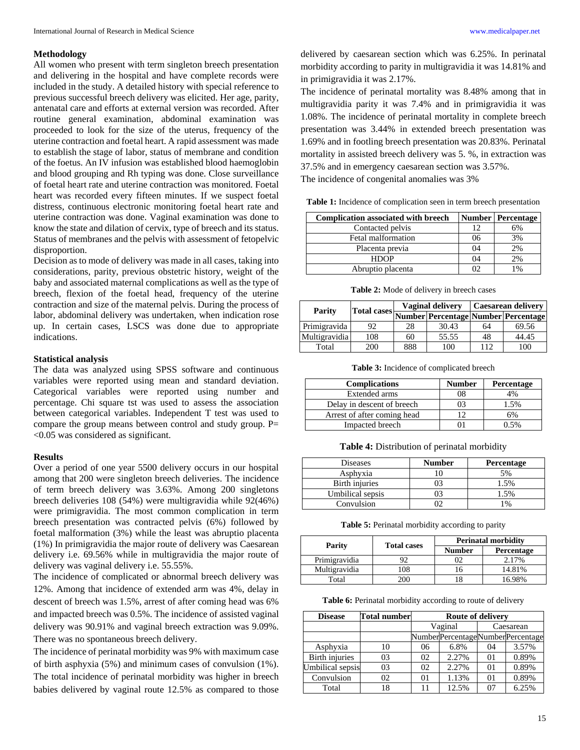#### **Methodology**

All women who present with term singleton breech presentation and delivering in the hospital and have complete records were included in the study. A detailed history with special reference to previous successful breech delivery was elicited. Her age, parity, antenatal care and efforts at external version was recorded. After routine general examination, abdominal examination was proceeded to look for the size of the uterus, frequency of the uterine contraction and foetal heart. A rapid assessment was made to establish the stage of labor, status of membrane and condition of the foetus. An IV infusion was established blood haemoglobin and blood grouping and Rh typing was done. Close surveillance of foetal heart rate and uterine contraction was monitored. Foetal heart was recorded every fifteen minutes. If we suspect foetal distress, continuous electronic monitoring foetal heart rate and uterine contraction was done. Vaginal examination was done to know the state and dilation of cervix, type of breech and its status. Status of membranes and the pelvis with assessment of fetopelvic disproportion.

Decision as to mode of delivery was made in all cases, taking into considerations, parity, previous obstetric history, weight of the baby and associated maternal complications as well as the type of breech, flexion of the foetal head, frequency of the uterine contraction and size of the maternal pelvis. During the process of labor, abdominal delivery was undertaken, when indication rose up. In certain cases, LSCS was done due to appropriate indications.

#### **Statistical analysis**

The data was analyzed using SPSS software and continuous variables were reported using mean and standard deviation. Categorical variables were reported using number and percentage. Chi square tst was used to assess the association between categorical variables. Independent T test was used to compare the group means between control and study group. P= <0.05 was considered as significant.

#### **Results**

Over a period of one year 5500 delivery occurs in our hospital among that 200 were singleton breech deliveries. The incidence of term breech delivery was 3.63%. Among 200 singletons breech deliveries 108 (54%) were multigravidia while 92(46%) were primigravidia. The most common complication in term breech presentation was contracted pelvis (6%) followed by foetal malformation (3%) while the least was abruptio placenta (1%) In primigravidia the major route of delivery was Caesarean delivery i.e. 69.56% while in multigravidia the major route of delivery was vaginal delivery i.e. 55.55%.

The incidence of complicated or abnormal breech delivery was 12%. Among that incidence of extended arm was 4%, delay in descent of breech was 1.5%, arrest of after coming head was 6% and impacted breech was 0.5%. The incidence of assisted vaginal delivery was 90.91% and vaginal breech extraction was 9.09%. There was no spontaneous breech delivery.

The incidence of perinatal morbidity was 9% with maximum case of birth asphyxia (5%) and minimum cases of convulsion (1%). The total incidence of perinatal morbidity was higher in breech babies delivered by vaginal route 12.5% as compared to those

delivered by caesarean section which was 6.25%. In perinatal morbidity according to parity in multigravidia it was 14.81% and in primigravidia it was 2.17%.

The incidence of perinatal mortality was 8.48% among that in multigravidia parity it was 7.4% and in primigravidia it was 1.08%. The incidence of perinatal mortality in complete breech presentation was 3.44% in extended breech presentation was 1.69% and in footling breech presentation was 20.83%. Perinatal mortality in assisted breech delivery was 5. %, in extraction was 37.5% and in emergency caesarean section was 3.57%.

The incidence of congenital anomalies was 3%

**Table 1:** Incidence of complication seen in term breech presentation

| <b>Complication associated with breech</b> |    | Number   Percentage |
|--------------------------------------------|----|---------------------|
| Contacted pelvis                           | 12 | 6%                  |
| Fetal malformation                         | 06 | 3%                  |
| Placenta previa                            | 04 | 2%                  |
| <b>HDOP</b>                                | 04 | 2%                  |
| Abruptio placenta                          |    | 1%                  |

**Table 2:** Mode of delivery in breech cases

| Parity        |     |     | <b>Vaginal delivery</b> | <b>Caesarean delivery</b> |                                                 |
|---------------|-----|-----|-------------------------|---------------------------|-------------------------------------------------|
|               |     |     |                         |                           | Total cases Number Percentage Number Percentage |
| Primigravida  | 92  | 28  | 30.43                   | 64                        | 69.56                                           |
| Multigravidia | 108 | 60  | 55.55                   | 48                        | 44.45                                           |
| Total         | 200 | 888 | 100                     | 112                       | 100                                             |

**Table 3:** Incidence of complicated breech

| <b>Complications</b>        | <b>Number</b> | <b>Percentage</b> |
|-----------------------------|---------------|-------------------|
| Extended arms               |               | 4%                |
| Delay in descent of breech  |               | 1.5%              |
| Arrest of after coming head |               | 6%                |
| Impacted breech             |               |                   |

**Table 4:** Distribution of perinatal morbidity

| <b>Diseases</b>  | <b>Number</b> | Percentage |
|------------------|---------------|------------|
| Asphyxia         |               | 5%         |
| Birth injuries   |               | 1.5%       |
| Umbilical sepsis |               | 1.5%       |
| Convulsion       |               | 1%         |

Table 5: Perinatal morbidity according to parity

|               |                              | <b>Perinatal morbidity</b> |                   |  |
|---------------|------------------------------|----------------------------|-------------------|--|
|               | Parity<br><b>Total cases</b> |                            | <b>Percentage</b> |  |
| Primigravidia |                              | )2                         | 2.17%             |  |
| Multigravidia | 108                          | I ()                       | 14.81%            |  |
| Total         | 200                          |                            | 16.98%            |  |

Table 6: Perinatal morbidity according to route of delivery

| <b>Disease</b>        | <b>Total number</b> | Route of delivery |       |                |                                  |
|-----------------------|---------------------|-------------------|-------|----------------|----------------------------------|
|                       |                     | Vaginal           |       |                | Caesarean                        |
|                       |                     |                   |       |                | NumberPercentageNumberPercentage |
| Asphyxia              | 10                  | 06                | 6.8%  | 04             | 3.57%                            |
| <b>Birth injuries</b> | 03                  | 02                | 2.27% | $_{01}$        | 0.89%                            |
| Umbilical sepsis      | 03                  | 02                | 2.27% | 0 <sub>1</sub> | 0.89%                            |
| Convulsion            | 02                  | 01                | 1.13% | $_{01}$        | 0.89%                            |
| Total                 | 18                  | 11                | 12.5% | 07             | 6.25%                            |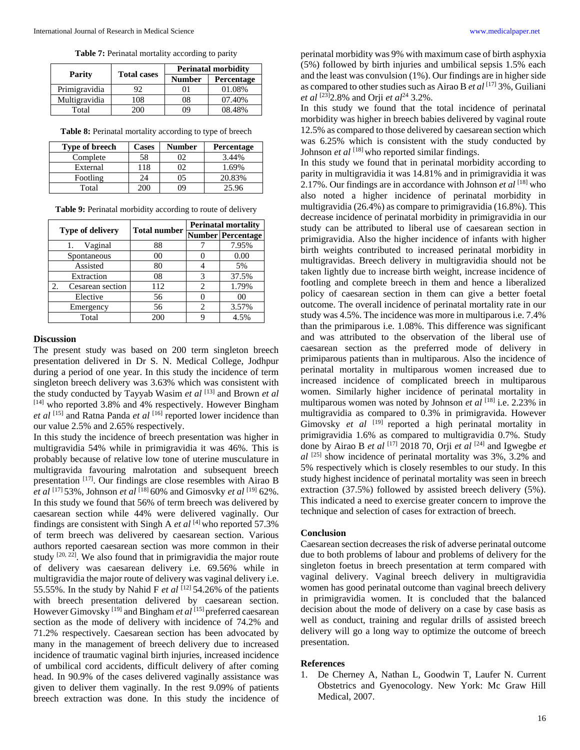Table 7: Perinatal mortality according to parity

| Parity        | <b>Total cases</b> | <b>Perinatal morbidity</b> |            |  |
|---------------|--------------------|----------------------------|------------|--|
|               |                    | <b>Number</b>              | Percentage |  |
| Primigravidia | 92                 | ') ì                       | 01.08%     |  |
| Multigravidia | 108                | 08                         | 07.40%     |  |
| Total         | 200                | 09                         | 08.48%     |  |

**Table 8:** Perinatal mortality according to type of breech

| Type of breech | <b>Cases</b> | <b>Number</b> | <b>Percentage</b> |
|----------------|--------------|---------------|-------------------|
| Complete       | 58           | 02            | 3.44%             |
| External       | 118          | 02            | 1.69%             |
| Footling       | 24           | 05            | 20.83%            |
| Total          | 200          | 09            | 25.96             |

|  | Table 9: Perinatal morbidity according to route of delivery |
|--|-------------------------------------------------------------|
|  |                                                             |

| <b>Type of delivery</b>            | <b>Total number</b> | <b>Perinatal mortality</b> |                          |  |
|------------------------------------|---------------------|----------------------------|--------------------------|--|
|                                    |                     |                            | <b>Number Percentage</b> |  |
| Vaginal<br>1.                      | 88                  |                            | 7.95%                    |  |
| Spontaneous                        | 00                  |                            | 0.00                     |  |
| Assisted                           | 80                  |                            | 5%                       |  |
| Extraction                         | 08                  | 3                          | 37.5%                    |  |
| $\mathfrak{D}$<br>Cesarean section | 112                 | 2.                         | 1.79%                    |  |
| Elective                           | 56                  |                            | 00                       |  |
| Emergency                          | 56                  | 2                          | 3.57%                    |  |
| Total                              | 200                 |                            | 4.5%                     |  |

#### **Discussion**

The present study was based on 200 term singleton breech presentation delivered in Dr S. N. Medical College, Jodhpur during a period of one year. In this study the incidence of term singleton breech delivery was 3.63% which was consistent with the study conducted by Tayyab Wasim *et al* [13] and Brown *et al* [14] who reported 3.8% and 4% respectively. However Bingham et al <sup>[15]</sup> and Ratna Panda et al <sup>[16]</sup> reported lower incidence than our value 2.5% and 2.65% respectively.

In this study the incidence of breech presentation was higher in multigravidia 54% while in primigravidia it was 46%. This is probably because of relative low tone of uterine musculature in multigravida favouring malrotation and subsequent breech presentation<sup>[17]</sup>. Our findings are close resembles with Airao B *et al* [17] 53%, Johnson *et al* [18] 60% and Gimosvky *et al* [19] 62%. In this study we found that 56% of term breech was delivered by caesarean section while 44% were delivered vaginally. Our findings are consistent with Singh A *et al* [4] who reported 57.3% of term breech was delivered by caesarean section. Various authors reported caesarean section was more common in their study  $[20, 22]$ . We also found that in primigravidia the major route of delivery was caesarean delivery i.e. 69.56% while in multigravidia the major route of delivery was vaginal delivery i.e. 55.55%. In the study by Nahid F *et al*  $^{[12]}$  54.26% of the patients with breech presentation delivered by caesarean section. However Gimovsky<sup>[19]</sup> and Bingham *et al*<sup>[15]</sup> preferred caesarean section as the mode of delivery with incidence of 74.2% and 71.2% respectively. Caesarean section has been advocated by many in the management of breech delivery due to increased incidence of traumatic vaginal birth injuries, increased incidence of umbilical cord accidents, difficult delivery of after coming head. In 90.9% of the cases delivered vaginally assistance was given to deliver them vaginally. In the rest 9.09% of patients breech extraction was done. In this study the incidence of perinatal morbidity was 9% with maximum case of birth asphyxia (5%) followed by birth injuries and umbilical sepsis 1.5% each and the least was convulsion (1%). Our findings are in higher side as compared to other studies such as Airao B *et al* [17] 3%, Guiliani *et al* <sup>[23]</sup>2.8% and Orji *et al*<sup>24</sup> 3.2%.

In this study we found that the total incidence of perinatal morbidity was higher in breech babies delivered by vaginal route 12.5% as compared to those delivered by caesarean section which was 6.25% which is consistent with the study conducted by Johnson *et al* <sup>[18]</sup> who reported similar findings.

In this study we found that in perinatal morbidity according to parity in multigravidia it was 14.81% and in primigravidia it was 2.17%. Our findings are in accordance with Johnson *et al* [18] who also noted a higher incidence of perinatal morbidity in multigravidia (26.4%) as compare to primigravidia (16.8%). This decrease incidence of perinatal morbidity in primigravidia in our study can be attributed to liberal use of caesarean section in primigravidia. Also the higher incidence of infants with higher birth weights contributed to increased perinatal morbidity in multigravidas. Breech delivery in multigravidia should not be taken lightly due to increase birth weight, increase incidence of footling and complete breech in them and hence a liberalized policy of caesarean section in them can give a better foetal outcome. The overall incidence of perinatal mortality rate in our study was 4.5%. The incidence was more in multiparous i.e. 7.4% than the primiparous i.e. 1.08%. This difference was significant and was attributed to the observation of the liberal use of caesarean section as the preferred mode of delivery in primiparous patients than in multiparous. Also the incidence of perinatal mortality in multiparous women increased due to increased incidence of complicated breech in multiparous women. Similarly higher incidence of perinatal mortality in multiparous women was noted by Johnson *et al* [18] i.e. 2.23% in multigravidia as compared to 0.3% in primigravida. However Gimovsky *et al* <sup>[19]</sup> reported a high perinatal mortality in primigravidia 1.6% as compared to multigravidia 0.7%. Study done by Airao B *et al* [17] 2018 70, Orji *et al* [24] and Igwegbe *et al* [25] show incidence of perinatal mortality was 3%, 3.2% and 5% respectively which is closely resembles to our study. In this study highest incidence of perinatal mortality was seen in breech extraction (37.5%) followed by assisted breech delivery (5%). This indicated a need to exercise greater concern to improve the technique and selection of cases for extraction of breech.

### **Conclusion**

Caesarean section decreases the risk of adverse perinatal outcome due to both problems of labour and problems of delivery for the singleton foetus in breech presentation at term compared with vaginal delivery. Vaginal breech delivery in multigravidia women has good perinatal outcome than vaginal breech delivery in primigravidia women. It is concluded that the balanced decision about the mode of delivery on a case by case basis as well as conduct, training and regular drills of assisted breech delivery will go a long way to optimize the outcome of breech presentation.

#### **References**

1. De Cherney A, Nathan L, Goodwin T, Laufer N. Current Obstetrics and Gyenocology. New York: Mc Graw Hill Medical, 2007.